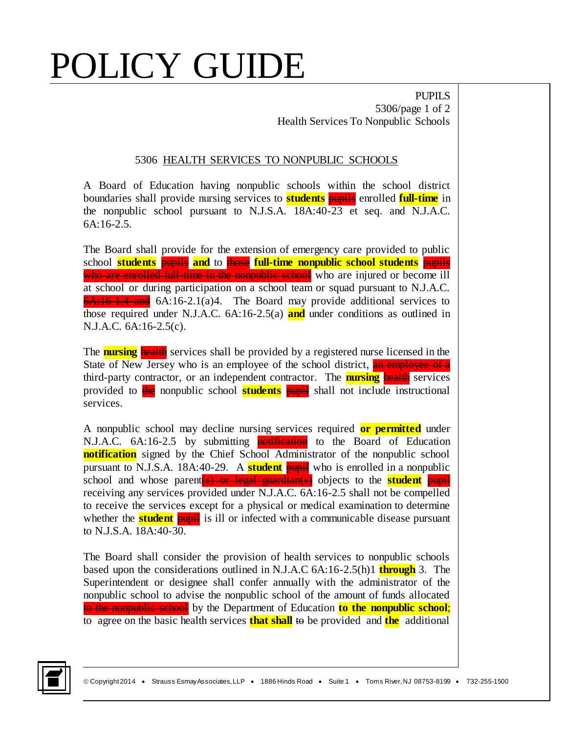## POLICY GUIDE

PUPILS 5306/page 1 of 2 Health Services To Nonpublic Schools

## 5306 HEALTH SERVICES TO NONPUBLIC SCHOOLS

A Board of Education having nonpublic schools within the school district boundaries shall provide nursing services to **students** pupils enrolled **full-time** in the nonpublic school pursuant to N.J.S.A. 18A:40-23 et seq. and N.J.A.C. 6A:16-2.5.

The Board shall provide for the extension of emergency care provided to public school **students** pupils **and** to those **full-time nonpublic school students** pupils who are enrolled full-time in the nonpublic school who are injured or become ill at school or during participation on a school team or squad pursuant to N.J.A.C.  $6A:16-1.4$  and  $6A:16-2.1(a)4$ . The Board may provide additional services to those required under N.J.A.C. 6A:16-2.5(a) **and** under conditions as outlined in N.J.A.C. 6A:16-2.5(c).

The **nursing** health services shall be provided by a registered nurse licensed in the State of New Jersey who is an employee of the school district, an employee of a third-party contractor, or an independent contractor. The **nursing** health services provided to the nonpublic school **students pupil** shall not include instructional services.

A nonpublic school may decline nursing services required **or permitted** under N.J.A.C. 6A:16-2.5 by submitting **notification** to the Board of Education **notification** signed by the Chief School Administrator of the nonpublic school pursuant to N.J.S.A. 18A:40-29. A **student** pupil who is enrolled in a nonpublic school and whose parent (s) or legal guardian(s) objects to the **student** pupil receiving any services provided under N.J.A.C. 6A:16-2.5 shall not be compelled to receive the services except for a physical or medical examination to determine whether the **student** pupil is ill or infected with a communicable disease pursuant to N.J.S.A. 18A:40-30.

The Board shall consider the provision of health services to nonpublic schools based upon the considerations outlined in N.J.A.C 6A:16-2.5(h)1 **through** 3. The Superintendent or designee shall confer annually with the administrator of the nonpublic school to advise the nonpublic school of the amount of funds allocated to the nonpublic school by the Department of Education **to the nonpublic school**; to agree on the basic health services **that shall** to be provided and **the** additional